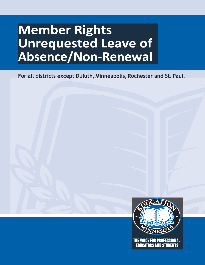# **Member Rights Unrequested Leave of** Absence/Non-Renewal

**For all districts except Duluth, Minneapolis, Rochester and St. Paul.**

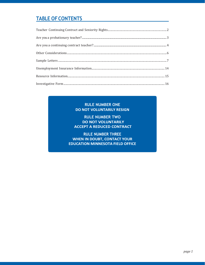## **TABLE OF CONTENTS**

| $\emph{Are you a continuing contract teacher? \textit{} \textit{} \textit{} \textit{} \textit{} \textit{} \textit{} \textit{} \textit{} \textit{} \textit{} \textit{} \textit{} \textit{} \textit{} \textit{} \textit{} \textit{} \textit{} \textit{} \textit{} \textit{} \textit{} \textit{} \textit{} \textit{} \textit{} \textit{} \textit{} \textit{} \textit{} \textit{} \textit{} \textit{} \textit{$ |
|-------------------------------------------------------------------------------------------------------------------------------------------------------------------------------------------------------------------------------------------------------------------------------------------------------------------------------------------------------------------------------------------------------------|
|                                                                                                                                                                                                                                                                                                                                                                                                             |
|                                                                                                                                                                                                                                                                                                                                                                                                             |
|                                                                                                                                                                                                                                                                                                                                                                                                             |
|                                                                                                                                                                                                                                                                                                                                                                                                             |
| $Investigate Form 16$                                                                                                                                                                                                                                                                                                                                                                                       |

#### **RULE NUMBER ONE** DO NOT VOLUNTARILY RESIGN

**RULE NUMBER TWO DO NOT VOLUNTARILY ACCEPT A REDUCED CONTRACT** 

**RULE NUMBER THREE WHEN IN DOUBT, CONTACT YOUR EDUCATION MINNESOTA FIELD OFFICE**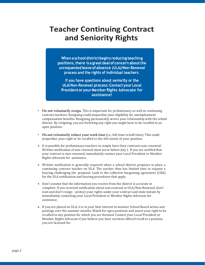## <span id="page-3-0"></span>**Teacher Continuing Contract and Seniority Rights**

When a school district begins reducing teaching positions, there is a great deal of concern about the unrequested leave of absence (ULA)/Non-Renewal process and the rights of individual teachers.

If you have questions about seniority or the ULA/Non-Renewal process: Contact your Local **President or your Member Rights Advocate for assistance!**

- **• Do not voluntarily resign.** This is important for probationary as well as continuing contract teachers. Resigning could jeopardize your eligibility for unemployment compensation benefits. Resigning permanently severs your relationship with the school district. By resigning, you are forfeiting any right you might have to be recalled to an open position.
- **• Do notvoluntarily reduceyour work time** (i.e., full-time to half-time). This could jeopardize your right to be recalled to the full extent of your position.
- It is possible for probationary teachers to simply have their contracts non-renewed. Written notification of non-renewal must occur before July 1. If you are notified that your contract is non-renewed, immediately contact your Local President or Member Rights Advocate for assistance.
- Written notification is generally required when a school district proposes to place a continuing contract teacher on ULA. The teacher then has limited time to request a hearing challenging the proposal. Look to the collective bargaining agreement (CBA) for the ULA notification and hearing procedures that apply.
- Don't assume that the information you receive from the district is accurate or complete. If you received notification about non-renewal or ULA/Non-Renewal, don't wait and don't resign – protect your rights under your contract and state statute by immediately contacting your Local President or Member Rights Advocate for assistance.
- If you are placed on ULA, it is in your best interest to monitor School Board action and postings over the summer months. Watch for open positions and assert your right to be recalled to any position for which you are licensed. Contact your Local President or Member Rights Advocate if you believe you have not been offered recall to a position you are licensed for.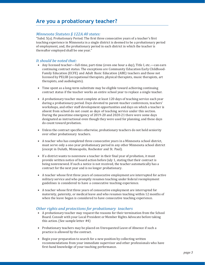## **Are you a probationary teacher?**

#### *Minnesota Statutes § 122A.40 states:*

"Subd. 5(a). Probationary Period. The first three consecutive years of a teacher's first teaching experience in Minnesota in a single district is deemed to be a probationary period of employment, and, the probationary period in each district in which the teacher is thereafter employed shall be one year."

#### *It should be noted that:*

- Any licensed teacher—full-time, part-time (even one hour a day), Title I, etc.—can earn continuing contract status. The exceptions are Community Education Early Childhood-Family Education (ECFE) and Adult Basic Education (ABE) teachers and those not licensed by PELSB (occupational therapists, physical therapists, music therapists, art therapists, and audiologists).
- Time spent as a long-term substitute may be eligible toward achieving continuing contract status if the teacher works an entire school year to replace a single teacher.
- A probationary teacher must complete at least 120 days of teaching service each year during a probationary period. Days devoted to parent-teacher conferences, teachers' workshops, and other staff development opportunities and days on which a teacher is absent from school do not count as days of teaching service under this section. During the peacetime emergency of 2019-20 and 2020-21 there were some days designated as instructional even though they were used for planning, and these days do count toward probation.
- Unless the contract specifies otherwise, probationary teachers do not hold seniority over other probationary teachers.
- A teacher who has completed three consecutive years in a Minnesota school district, must serve only a one-year probationary period in any other Minnesota school district (except in Duluth, Minneapolis, Rochester and St. Paul).
- If a district wants to nonrenew a teacher in their final year of probation, it must provide written notice of board action before July 1, stating that their contract is being nonrenewed. If such a notice is not received, the teacher automatically has a contract for the next year and is no longer probationary.
- A teacher whose first three years of consecutive employment are interrupted for active military service and who promptly resumes teaching under federal reemployment guidelines is considered to have a consecutive teaching experience.
- A teacher whose first three years of consecutive employment are interrupted for maternity, paternity, or medical leave and who resumes teaching within 12 months of when the leave began is considered to have consecutive teaching experience.

#### *Other rights and protections for probationary teachers*

- A probationary teacher may request the reasons for their termination from the School Board. Consult with your Local President or Member Rights Advocate before taking this action. (See sample letter #4)
- Probationary teachers may be placed on Unrequested Leave of Absence if such a practice is allowed by the contract.
- Begin your preparation to search for a new position by collecting written recommendations from your immediate supervisor and other professionals who have first-hand knowledge of your teaching performance.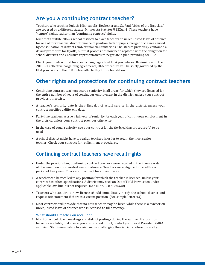## **Are you a continuing contract teacher?**

Teachers who teach in Duluth, Minneapolis, Rochester and St. Paul (cities of the first class) are covered by a different statute, Minnesota Statutes § 122A.41. These teachers have "tenure" rights, rather than "continuing contract" rights.

Minnesota statute allows school districts to place teachers on unrequested leave of absence for one of four reasons: discontinuance of position, lack of pupils, merger of classes caused by consolidation of districts and/or financial limitations. The statute previously contained a default procedure for layoffs, but that process has now been replaced with the obligation for school districts and exclusive representatives to negotiate a plan providing for ULA.

Check your contract first for specific language about ULA procedures. Beginning with the 2019-21 collective bargaining agreements, ULA procedure will be solely governed by the ULA provisions in the CBA unless affected by future legislation.

## **Other rights and protections for continuing contract teachers**

- Continuing contract teachers accrue seniority in all areas for which they are licensed for the entire number of years of continuous employment in the district, unless your contract provides otherwise.
- A teacher's seniority date is their first day of actual service in the district, unless your contract specifies a different date.
- Part-time teachers accrue a full year of seniority for each year of continuous employment in the district, unless your contract provides otherwise.
- In the case of equal seniority, see your contract for the tie-breaking procedure(s) to be used.
- A school district might have to realign teachers in order to retain the most senior teacher. Check your contract for realignment procedures.

## **Continuing contract teachers have recall rights**

- Under the previous law, continuing contract teachers were recalled in the inverse order of placement on unrequested leave of absence. Teachers were eligible for recall for a period of five years. Check your contract for current rules.
- A teacher can be recalled to any position for which the teacher is licensed, unless your contract has other specifications. A district may seek an Out of Field Permission under applicable law, but it is not required. (See Minn. R. 8710.0320)
- Teachers who acquire a new license should immediately notify the school district and request reinstatement if there is a vacant position. (See sample letter #3)
- Most contracts will provide that no new teacher may be hired while there is a teacher on unrequested leave of absence who is licensed to fill a vacancy.

#### What should a teacher on recall do?

1. Monitor School Board meetings and district postings during the summer. If a position becomes available, make sure you are recalled. If not, contact your Local President/MRA and Field Staff immediately to assist you in challenging the district's failure to recall you.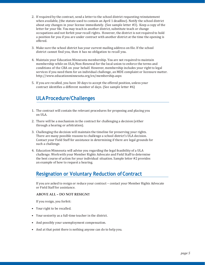- 2. If required by the contract, send a letter to the school district requesting reinstatement when available, (the statute used to contain an April 1 deadline). Notify the school district about any changes in your license immediately. (See sample letter #3). Keep a copy of the letter for your file. You may teach in another district, substitute teach or change occupations and not forfeit your recall rights. However, the district is not required to hold a position for you if you are under contract with another district at the time the opening is offered.
- 3. Make sure the school district has your current mailing address on file. If the school district cannot find you, then it has no obligation to recall you.
- 4. Maintain your Education Minnesota membership. You are not required to maintain membership while on ULA/Non-Renewal for the local union to enforce the terms and conditions of the CBA on your behalf. However, membership includes your right to legal services if you need them for an individual challenge, an MDE complaint or licensure matter. [http://www.educationminnesota.org/e](http://www.educationminnesota.org/)n/membership.aspx
- 5. If you are recalled, you have 30 days to accept the offered position, unless your contract identifies a different number of days. (See sample letter #6)

## **ULAProcedure/Challenges**

- 1. The contract will contain the relevant procedures for proposing and placing you on ULA.
- 2. There will be a mechanism in the contract for challenging a decision (either through a hearing or arbitration).
- 3. Challenging the decision will maintain the timeline for preserving your rights. There are many possible reasons to challenge a school district's ULA decision. Contact your Field Staff for assistance in determining if there are legal grounds for such a challenge.
- 4. Education Minnesota will advise you regarding the legal feasibility of a ULA challenge. Work with your Member Rights Advocate and Field Staff to determine the best course of action for your individual situation. Sample letter #2 provides an example of how to request a hearing.

## **Resignation or Voluntary Reduction ofContract**

If you are asked to resign or reduce your contract – contact your Member Rights Advocate or Field Staff for assistance.

#### **ABOVE ALL – DO NOT RESIGN!!**

If you resign, you forfeit:

- Your right to be recalled.
- Your seniority as a full-time teacher in the district.
- And possibly your unemployment compensation.
- And at that point there is nothing anyone can do to help you.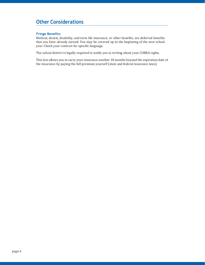## <span id="page-7-0"></span>**Other Considerations**

#### **Fringe Benefits:**

Medical, dental, disability, and term life insurance, or other benefits, are deferred benefits that you have already earned. You may be covered up to the beginning of the new school year. Check your contract for specific language.

The school district is legally required to notify you in writing about your COBRA rights.

This law allows you to carry your insurance another 18 months beyond the expiration date of the insurance by paying the full premium yourself (state and federal insurance laws).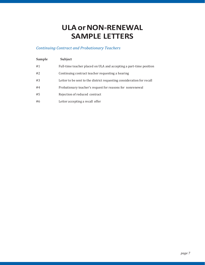## **ULA or NON-RENEWAL SAMPLE LETTERS**

### *Continuing Contract and Probationary Teachers*

| Sample | Subject                                                               |
|--------|-----------------------------------------------------------------------|
| #1     | Full-time teacher placed on ULA and accepting a part-time position    |
| #2     | Continuing contract teacher requesting a hearing                      |
| #3     | Letter to be sent to the district requesting consideration for recall |
| #4     | Probationary teacher's request for reasons for nonrenewal             |
| #5     | Rejection of reduced contract                                         |
| #6     | Letter accepting a recall offer                                       |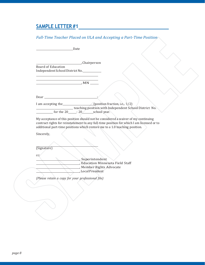### *Full-Time Teacher Placed on ULA and Accepting a Part-Time Position*

|                                                                                                                                                                                                                                    | Date                                                                                                                                                                                                                                                          |
|------------------------------------------------------------------------------------------------------------------------------------------------------------------------------------------------------------------------------------|---------------------------------------------------------------------------------------------------------------------------------------------------------------------------------------------------------------------------------------------------------------|
| <b>Board of Education</b><br>Independent School District No.                                                                                                                                                                       | ,Chairperson                                                                                                                                                                                                                                                  |
| <u> 1989 - Johann Barn, mars ann an t-Amhain Aonaich an t-Aonaich an t-Aonaich ann an t-Aonaich ann an t-Aonaich</u>                                                                                                               |                                                                                                                                                                                                                                                               |
| Dear <b>Dear Contract Contract Contract Contract Contract Contract Contract Contract Contract Contract Contract Contract Contract Contract Contract Contract Contract Contract Contract Contract Contract Contract Contract Co</b> |                                                                                                                                                                                                                                                               |
|                                                                                                                                                                                                                                    | I am accepting the (position fraction, i.e., 1/2)<br>teaching position with Independent School District No.<br>$\frac{1}{20}$ for the 20 $\frac{1}{20}$ - 20 $\frac{1}{20}$ school year.                                                                      |
| Sincerely,                                                                                                                                                                                                                         | My acceptance of this position should not be considered a waiver of my continuing<br>contract rights for reinstatement to any full-time position for which I am licensed or to<br>additional part-time positions which restore me to a 1.0 teaching position. |
| (Signature)                                                                                                                                                                                                                        |                                                                                                                                                                                                                                                               |
| cc:                                                                                                                                                                                                                                | Superintendent<br>, Education Minnesota Field Staff<br>Member Rights Advocate<br>, Local President                                                                                                                                                            |
| (Please retain a copy for your professional file)                                                                                                                                                                                  |                                                                                                                                                                                                                                                               |
|                                                                                                                                                                                                                                    |                                                                                                                                                                                                                                                               |
|                                                                                                                                                                                                                                    |                                                                                                                                                                                                                                                               |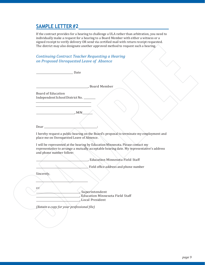If the contract provides for a hearing to challenge a ULA rather than arbitration, you need to individually make a request for a hearing to a Board Member with either a witness or a signed receipt to verify delivery OR send via certified mail with return receipt requested. The district may also designate another approved method to request such a hearing.

*Continuing Contract Teacher Requesting a Hearing on Proposed Unrequested Leave of Absence*

| Date                                                                                                                                                                                                    |
|---------------------------------------------------------------------------------------------------------------------------------------------------------------------------------------------------------|
|                                                                                                                                                                                                         |
| Board Member                                                                                                                                                                                            |
| <b>Board of Education</b><br>Independent School District No.                                                                                                                                            |
| M N                                                                                                                                                                                                     |
| Dear                                                                                                                                                                                                    |
| I hereby request a public hearing on the Board's proposal to terminate my employment and<br>place me on Unrequested Leave of Absence.                                                                   |
| I will be represented at the hearing by Education Minnesota. Please contact my<br>representative to arrange a mutually acceptable hearing date. My representative's address<br>and phone number follow: |
| , Education Minnesota Field Staff                                                                                                                                                                       |
| Field office address and phone number                                                                                                                                                                   |
| Sincerely,                                                                                                                                                                                              |
| cc:<br>, Superintendent                                                                                                                                                                                 |
| , Education Minnesota Field Staff<br><b>Local President</b>                                                                                                                                             |
| (Retain a copy for your professional file)                                                                                                                                                              |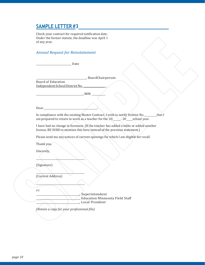Check your contract for required notification date. Under the former statute, the deadline was April 1 of any year.

#### *Annual Request for Reinstatement*

| Date                                                                                                                                                                          |
|-------------------------------------------------------------------------------------------------------------------------------------------------------------------------------|
|                                                                                                                                                                               |
| BoardChairperson<br><b>Board of Education</b><br>Independent School District No.                                                                                              |
| , MN                                                                                                                                                                          |
| Dear                                                                                                                                                                          |
| In compliance with the existing Master Contract, I wish to notify District No.<br>_that I<br>am prepared to return to work as a teacher for the 20______- 20_____school year. |
| I have had no change in licensure. (If the teacher has added credits or added another<br>license, BE SURE to mention this here instead of the previous statement.)            |
| Please send me any notices of current openings for which I am eligible for recall.                                                                                            |
| Thank you.                                                                                                                                                                    |
| Sincerely,                                                                                                                                                                    |
|                                                                                                                                                                               |
| (Signature)                                                                                                                                                                   |
|                                                                                                                                                                               |
| (Current Address)                                                                                                                                                             |
|                                                                                                                                                                               |
| cc:                                                                                                                                                                           |
| Superintendent                                                                                                                                                                |
| , Education Minnesota Field Staff<br>, Local President                                                                                                                        |
|                                                                                                                                                                               |

 $\overline{\phantom{a}}$ 

*(Retain a copy for your professional file)*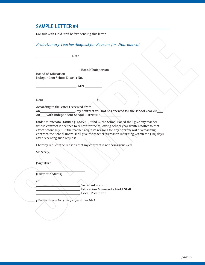Consult with Field Staff before sending this letter

#### *Probationary Teacher-Request for Reasons for Nonrenewal*

and Date

, BoardChairperson

Board of Education Independent School District No.

Dear : and the state of the state of the state of the state of the state of the state of the state of the state of the state of the state of the state of the state of the state of the state of the state of the state of the

According to the letter I received from

 $, MN$ 

on knowledge that the school year 20  $\sim$ 20 with Independent School District No.

Under Minnesota Statutes § 122A.40, Subd. 5, the School Board shall give any teacher whose contract it declines to renew for the following school year written notice to that effect before July 1. If the teacher requests reasons for any nonrenewal of a teaching contract, the School Board shall give the teacher its reason in writing within ten (10) days after receiving such request.

I hereby request the reasons that my contract is not being renewed.

Sincerely,

(Signature)

(Current Address)

cc:

, Superintendent , Education Minnesota Field Staff , Local President

*(Retain a copy for your professional file)*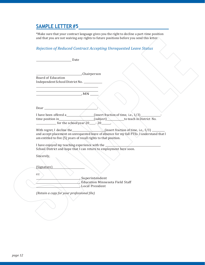\*Make sure that your contract language gives you the right to decline a part-time position and that you are not waiving any rights to future positions before you send this letter.

### *Rejection of Reduced Contract Accepting Unrequested Leave Status*

|                                                                         | Date                                                                                                                                                                                                                                                                                                           |
|-------------------------------------------------------------------------|----------------------------------------------------------------------------------------------------------------------------------------------------------------------------------------------------------------------------------------------------------------------------------------------------------------|
|                                                                         |                                                                                                                                                                                                                                                                                                                |
| <b>Board of Education</b><br>Independent School District No. __________ | Chairperson                                                                                                                                                                                                                                                                                                    |
| $M_N$                                                                   |                                                                                                                                                                                                                                                                                                                |
|                                                                         |                                                                                                                                                                                                                                                                                                                |
|                                                                         |                                                                                                                                                                                                                                                                                                                |
|                                                                         | $\frac{1}{2}$ for the schoolyear 20 $\frac{1}{2}$ - 20 $\frac{1}{2}$ .                                                                                                                                                                                                                                         |
|                                                                         | With regret, I decline the $\qquad \qquad$ (insert fraction of time, i.e., $1/3$ )<br>and accept placement on unrequested leave of absence for my full FTEs. I understand that I<br>am entitled to five (5) years of recall rights to that position.<br>I have enjoyed my teaching experience with the _______ |
|                                                                         | School District and hope that I can return to employment here soon.                                                                                                                                                                                                                                            |
| Sincerely,                                                              |                                                                                                                                                                                                                                                                                                                |
|                                                                         |                                                                                                                                                                                                                                                                                                                |
| (Signature)                                                             |                                                                                                                                                                                                                                                                                                                |
| cc:                                                                     |                                                                                                                                                                                                                                                                                                                |
|                                                                         | _, Superintendent                                                                                                                                                                                                                                                                                              |
|                                                                         | , Education Minnesota Field Staff<br>Local President                                                                                                                                                                                                                                                           |
|                                                                         |                                                                                                                                                                                                                                                                                                                |
| (Retain a copy for your professional file)                              |                                                                                                                                                                                                                                                                                                                |
|                                                                         |                                                                                                                                                                                                                                                                                                                |
|                                                                         |                                                                                                                                                                                                                                                                                                                |

 $\overline{\mathcal{E}}$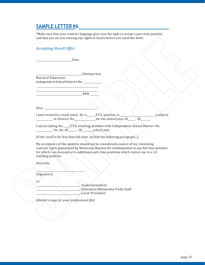\*Make sure that your contract language gives you the right to accept a part-time position and that you are not waiving any rights to future before you send this letter.

| <b>Accepting Recall Offer</b>                                                                                                                                                     |             |                                                      |           |
|-----------------------------------------------------------------------------------------------------------------------------------------------------------------------------------|-------------|------------------------------------------------------|-----------|
|                                                                                                                                                                                   |             |                                                      |           |
| Date Date                                                                                                                                                                         |             |                                                      |           |
|                                                                                                                                                                                   |             |                                                      |           |
|                                                                                                                                                                                   | Chairperson |                                                      |           |
| <b>Board of Education</b>                                                                                                                                                         |             |                                                      |           |
| Independent School District No.                                                                                                                                                   |             |                                                      |           |
|                                                                                                                                                                                   |             |                                                      |           |
| $-MN$ $\qquad \qquad \ldots$                                                                                                                                                      |             |                                                      |           |
|                                                                                                                                                                                   |             |                                                      |           |
|                                                                                                                                                                                   |             |                                                      |           |
| I have received a recall notice for a______F.T.E. position in___________                                                                                                          |             |                                                      | (subject) |
|                                                                                                                                                                                   |             |                                                      |           |
| I am accepting the F.T.E. teaching position with Independent School District No.                                                                                                  |             |                                                      |           |
| $\frac{1}{20}$ for the 20 $\frac{20}{20}$ school year.                                                                                                                            |             |                                                      |           |
| (If the recall is for less than full-time, include the following paragraph)                                                                                                       |             |                                                      |           |
|                                                                                                                                                                                   |             |                                                      |           |
| My acceptance of this position should not be considered a waiver of my continuing<br>contract rights guaranteed by Minnesota Statutes for reinstatement to any full-time position |             |                                                      |           |
| for which I am licensed or to additional part-time positions which restore me to a 1.0                                                                                            |             |                                                      |           |
| teaching position.                                                                                                                                                                |             |                                                      |           |
| Sincerely,                                                                                                                                                                        |             |                                                      |           |
|                                                                                                                                                                                   |             |                                                      |           |
| (Signature)                                                                                                                                                                       |             |                                                      |           |
| $cc$ :                                                                                                                                                                            |             |                                                      |           |
|                                                                                                                                                                                   |             | , Superintendent                                     |           |
|                                                                                                                                                                                   |             | , Education Minnesota Field Staff<br>Local President |           |
|                                                                                                                                                                                   |             |                                                      |           |
| (Retain a copy for your professional file)                                                                                                                                        |             |                                                      |           |
|                                                                                                                                                                                   |             |                                                      |           |
|                                                                                                                                                                                   |             |                                                      |           |
|                                                                                                                                                                                   |             |                                                      |           |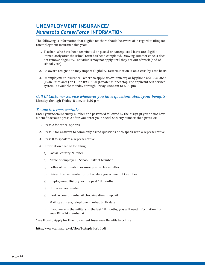## **UNEMPLOYMENT INSURANCE/** *Minnesota CareerForce* **INFORMATION**

The following is information that eligible teachers should be aware of in regard to filing for Unemployment Insurance this year:

- 1. Teachers who have been terminated or placed on unrequested leave are eligible immediately after the school term has been completed. Drawing summer checks does not remove eligibility. Individuals may not apply until they are out of work (end of school year).
- 2. Be aware resignation may impact eligibility. Determination is on a case-by-case basis.
- 3. Unemployment Insurance--where to apply: [www.uimn.org o](http://www.uimn.org/)r by phone 651-296-3644 (Twin Cities area) or 1-877-898-9090 (Greater Minnesota). The applicant self-service system is available Monday through Friday, 6:00 am to 6:00 pm.

*Call UI Customer Service whenever you have questions about your benefits:* Monday through Friday, 8 a.m. to 4:30 p.m.

#### *To talk to a representative:*

Enter your Social Security number and password followed by the # sign (if you do not have a benefit account press 2 after you enter your Social Security number, then press 0);

- 1. Press 2 for other options;
- 2. Press 3 for answers to commonly asked questions or to speak with a representative;
- 3. Press 0 to speak to a representative.
- 4. Information needed for filing:
	- a) Social Security Number
	- b) Name of employer School District Number
	- c) Letter of termination or unrequested leave letter
	- d) Driver license number or other state government ID number
	- e) Employment History for the past 18 months
	- f) Union name/number
	- g) Bank account number-if choosing direct deposit
	- h) Mailing address, telephone number, birth date
	- i) If you were in the military in the last 18 months, you will need information from your DD-214 member 4

\*see How to Apply for Unemployment Insurance Benefits brochure

http://www.uimn.org/ui/HowToApplyForUI.pdf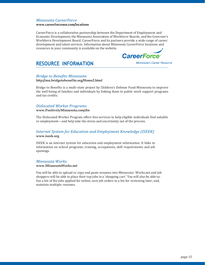#### *Minnesota CareerForce*

#### **www.careerforcemn.com/locations**

CareerForce is a collaborative partnership between the Department of Employment and Economic Development, the Minnesota Association of Workforce Boards, and the Governor's Workforce Development Board. CareerForce and its partners provide a wide range of career development and talent services. Information about Minnesota CareerForce locations and resources in your community is available on the website.



## <span id="page-16-0"></span>**RESOURCE INFORMATION**

Minnesota's Career Resource

#### *Bridge to Benefits Minnesota*

#### **<http://mn.bridgetobenefits.org/Home2.html>**

Bridge to Benefits is a multi-state project by Children's Defense Fund Minnesota to improve the well-being of families and individuals by linking them to public work support programs and tax credits.

#### *Dislocated Worker Programs*

#### **[www.PositivelyMinnesota.com/dw](http://www.positivelyminnesota.com/dw)**

The Dislocated Worker Program offers free services to help eligible individuals find suitable re-employment—and help take the stress and uncertainty out of the process.

#### *Internet System for Education and Employment Knowledge (ISEEK)* **[www.iseek.org](http://www.iseek.org/)**

ISEEK is an internet system for education and employment information. It links to information on school programs, training, occupations, skill requirements and job openings.

#### *Minnesota Works*

#### **[www.MinnesotaWorks.net](http://www.minnesotaworks.net/)**

You will be able to upload or copy and paste resumes into Minnesota- Works.net and job shoppers will be able to place their top jobs in a 'shopping cart.' You will also be able to: See a list of the jobs applied for online; save job orders to a list for reviewing later; and, maintain multiple resumes.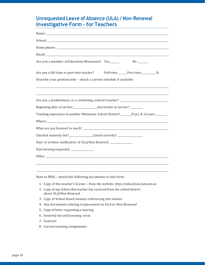## **Unrequested Leave of Absence (ULA) / Non-Renewal Investigative Form – for Teachers**

| Name: Name and the second state of the second state of the second state of the second state of the second state of the second state of the second state of the second state of the second state of the second state of the sec |  |  |  |  |
|--------------------------------------------------------------------------------------------------------------------------------------------------------------------------------------------------------------------------------|--|--|--|--|
| School: <u>Alexander School</u>                                                                                                                                                                                                |  |  |  |  |
|                                                                                                                                                                                                                                |  |  |  |  |
|                                                                                                                                                                                                                                |  |  |  |  |
| Are you a member of Education Minnesota? Yes______                                                                                                                                                                             |  |  |  |  |
| Are you a full-time or part-time teacher? Full-time______Part-time________%                                                                                                                                                    |  |  |  |  |
| Describe your position/title - attach a current schedule if available:                                                                                                                                                         |  |  |  |  |
| Are you a probationary or a continuing contract teacher? _______________________                                                                                                                                               |  |  |  |  |
|                                                                                                                                                                                                                                |  |  |  |  |
| Teaching experience in another Minnesota School District?________________________                                                                                                                                              |  |  |  |  |
| Where: Where a contract the contract of the contract of the contract of the contract of the contract of the contract of the contract of the contract of the contract of the contract of the contract of the contract of the co |  |  |  |  |
|                                                                                                                                                                                                                                |  |  |  |  |
|                                                                                                                                                                                                                                |  |  |  |  |
| Date of written notification of ULA/Non-Renewal ______________                                                                                                                                                                 |  |  |  |  |
| Date hearing requested ______________                                                                                                                                                                                          |  |  |  |  |
|                                                                                                                                                                                                                                |  |  |  |  |

Note to MRA – attach the following documents to this form:

- 1. Copy of this teacher's license from the website: [http://education.state.mn.us](http://education.state.mn.us/)
- 2. Copy of any letters this teacher has received from the school district about ULA/Non-Renewal
- 3. Copy of School Board minutes referencing this teacher
- 4. Any documents relating to placement on ULA or Non-Renewal
- 5. Copy of letter requesting a hearing
- 6. Seniority list and licensing areas
- 7. Contract
- 8. Current teaching assignments